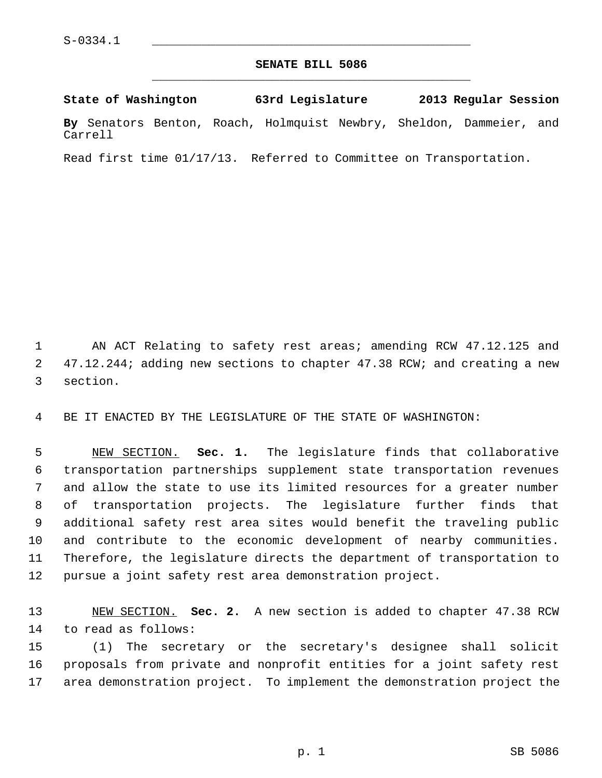## **SENATE BILL 5086** \_\_\_\_\_\_\_\_\_\_\_\_\_\_\_\_\_\_\_\_\_\_\_\_\_\_\_\_\_\_\_\_\_\_\_\_\_\_\_\_\_\_\_\_\_

**State of Washington 63rd Legislature 2013 Regular Session**

**By** Senators Benton, Roach, Holmquist Newbry, Sheldon, Dammeier, and Carrell

Read first time 01/17/13. Referred to Committee on Transportation.

 1 AN ACT Relating to safety rest areas; amending RCW 47.12.125 and 2 47.12.244; adding new sections to chapter 47.38 RCW; and creating a new 3 section.

4 BE IT ENACTED BY THE LEGISLATURE OF THE STATE OF WASHINGTON:

 5 NEW SECTION. **Sec. 1.** The legislature finds that collaborative 6 transportation partnerships supplement state transportation revenues 7 and allow the state to use its limited resources for a greater number 8 of transportation projects. The legislature further finds that 9 additional safety rest area sites would benefit the traveling public 10 and contribute to the economic development of nearby communities. 11 Therefore, the legislature directs the department of transportation to 12 pursue a joint safety rest area demonstration project.

13 NEW SECTION. **Sec. 2.** A new section is added to chapter 47.38 RCW 14 to read as follows:

15 (1) The secretary or the secretary's designee shall solicit 16 proposals from private and nonprofit entities for a joint safety rest 17 area demonstration project. To implement the demonstration project the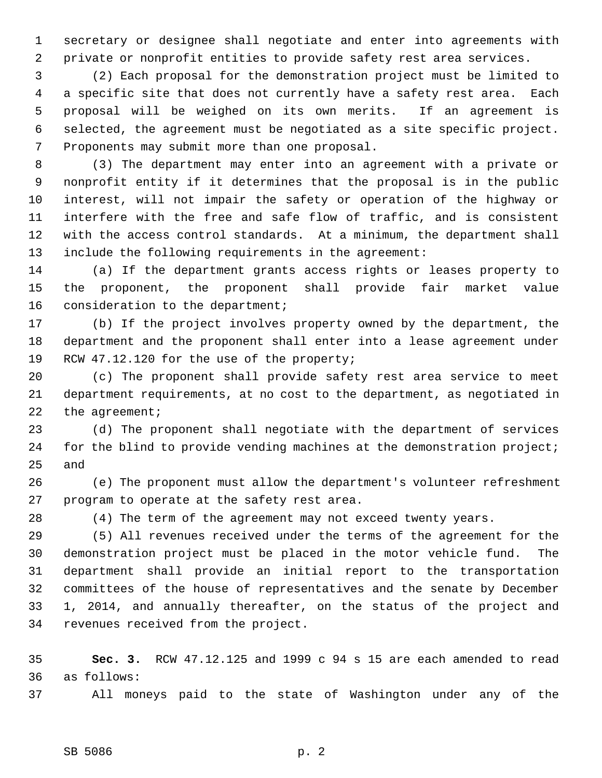1 secretary or designee shall negotiate and enter into agreements with 2 private or nonprofit entities to provide safety rest area services.

 3 (2) Each proposal for the demonstration project must be limited to 4 a specific site that does not currently have a safety rest area. Each 5 proposal will be weighed on its own merits. If an agreement is 6 selected, the agreement must be negotiated as a site specific project. 7 Proponents may submit more than one proposal.

 8 (3) The department may enter into an agreement with a private or 9 nonprofit entity if it determines that the proposal is in the public 10 interest, will not impair the safety or operation of the highway or 11 interfere with the free and safe flow of traffic, and is consistent 12 with the access control standards. At a minimum, the department shall 13 include the following requirements in the agreement:

14 (a) If the department grants access rights or leases property to 15 the proponent, the proponent shall provide fair market value 16 consideration to the department;

17 (b) If the project involves property owned by the department, the 18 department and the proponent shall enter into a lease agreement under 19 RCW 47.12.120 for the use of the property;

20 (c) The proponent shall provide safety rest area service to meet 21 department requirements, at no cost to the department, as negotiated in 22 the agreement;

23 (d) The proponent shall negotiate with the department of services 24 for the blind to provide vending machines at the demonstration project; 25 and

26 (e) The proponent must allow the department's volunteer refreshment 27 program to operate at the safety rest area.

28 (4) The term of the agreement may not exceed twenty years.

29 (5) All revenues received under the terms of the agreement for the 30 demonstration project must be placed in the motor vehicle fund. The 31 department shall provide an initial report to the transportation 32 committees of the house of representatives and the senate by December 33 1, 2014, and annually thereafter, on the status of the project and 34 revenues received from the project.

35 **Sec. 3.** RCW 47.12.125 and 1999 c 94 s 15 are each amended to read 36 as follows:

37 All moneys paid to the state of Washington under any of the

SB 5086 p. 2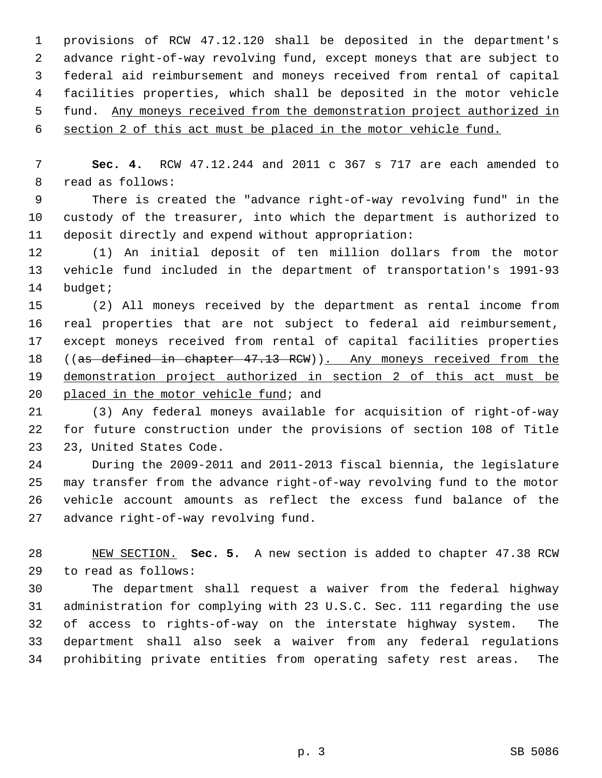1 provisions of RCW 47.12.120 shall be deposited in the department's 2 advance right-of-way revolving fund, except moneys that are subject to 3 federal aid reimbursement and moneys received from rental of capital 4 facilities properties, which shall be deposited in the motor vehicle 5 fund. Any moneys received from the demonstration project authorized in 6 section 2 of this act must be placed in the motor vehicle fund.

 7 **Sec. 4.** RCW 47.12.244 and 2011 c 367 s 717 are each amended to 8 read as follows:

 9 There is created the "advance right-of-way revolving fund" in the 10 custody of the treasurer, into which the department is authorized to 11 deposit directly and expend without appropriation:

12 (1) An initial deposit of ten million dollars from the motor 13 vehicle fund included in the department of transportation's 1991-93 14 budget;

15 (2) All moneys received by the department as rental income from 16 real properties that are not subject to federal aid reimbursement, 17 except moneys received from rental of capital facilities properties 18 ((as defined in chapter 47.13 RCW)). Any moneys received from the 19 demonstration project authorized in section 2 of this act must be 20 placed in the motor vehicle fund; and

21 (3) Any federal moneys available for acquisition of right-of-way 22 for future construction under the provisions of section 108 of Title 23 23, United States Code.

24 During the 2009-2011 and 2011-2013 fiscal biennia, the legislature 25 may transfer from the advance right-of-way revolving fund to the motor 26 vehicle account amounts as reflect the excess fund balance of the 27 advance right-of-way revolving fund.

28 NEW SECTION. **Sec. 5.** A new section is added to chapter 47.38 RCW 29 to read as follows:

30 The department shall request a waiver from the federal highway 31 administration for complying with 23 U.S.C. Sec. 111 regarding the use 32 of access to rights-of-way on the interstate highway system. The 33 department shall also seek a waiver from any federal regulations 34 prohibiting private entities from operating safety rest areas. The